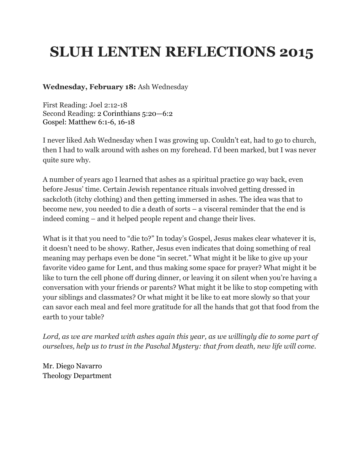# **SLUH LENTEN REFLECTIONS 2015**

#### **Wednesday, February 18:** Ash Wednesday

First Reading: Joel 2:12-18 Second Reading: 2 [Corinthians](http://www.usccb.org/bible/2corinthians/5:20) 5:20—6:2 Gospel: Matthew 6:1-6, 16-18

I never liked Ash Wednesday when I was growing up. Couldn't eat, had to go to church, then I had to walk around with ashes on my forehead. I'd been marked, but I was never quite sure why.

A number of years ago I learned that ashes as a spiritual practice go way back, even before Jesus' time. Certain Jewish repentance rituals involved getting dressed in sackcloth (itchy clothing) and then getting immersed in ashes. The idea was that to become new, you needed to die a death of sorts – a visceral reminder that the end is indeed coming – and it helped people repent and change their lives.

What is it that you need to "die to?" In today's Gospel, Jesus makes clear whatever it is, it doesn't need to be showy. Rather, Jesus even indicates that doing something of real meaning may perhaps even be done "in secret." What might it be like to give up your favorite video game for Lent, and thus making some space for prayer? What might it be like to turn the cell phone off during dinner, or leaving it on silent when you're having a conversation with your friends or parents? What might it be like to stop competing with your siblings and classmates? Or what might it be like to eat more slowly so that your can savor each meal and feel more gratitude for all the hands that got that food from the earth to your table?

*Lord, as we are marked with ashes again this year, as we willingly die to some part of ourselves, help us to trust in the Paschal Mystery: that from death, new life will come.*

Mr. Diego Navarro Theology Department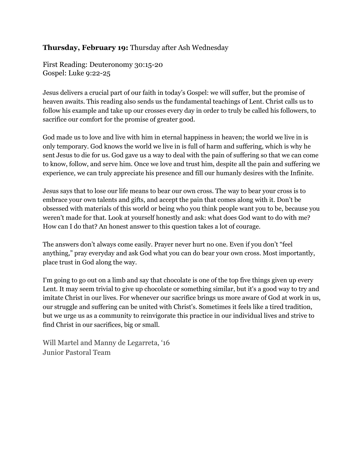#### **Thursday, February 19:** Thursday after Ash Wednesday

First Reading: Deuteronomy 30:1520 Gospel: Luke 9:22-25

Jesus delivers a crucial part of our faith in today's Gospel: we will suffer, but the promise of heaven awaits. This reading also sends us the fundamental teachings of Lent. Christ calls us to follow his example and take up our crosses every day in order to truly be called his followers, to sacrifice our comfort for the promise of greater good.

God made us to love and live with him in eternal happiness in heaven; the world we live in is only temporary. God knows the world we live in is full of harm and suffering, which is why he sent Jesus to die for us. God gave us a way to deal with the pain of suffering so that we can come to know, follow, and serve him. Once we love and trust him, despite all the pain and suffering we experience, we can truly appreciate his presence and fill our humanly desires with the Infinite.

Jesus says that to lose our life means to bear our own cross. The way to bear your cross is to embrace your own talents and gifts, and accept the pain that comes along with it. Don't be obsessed with materials of this world or being who you think people want you to be, because you weren't made for that. Look at yourself honestly and ask: what does God want to do with me? How can I do that? An honest answer to this question takes a lot of courage.

The answers don't always come easily. Prayer never hurt no one. Even if you don't "feel anything," pray everyday and ask God what you can do bear your own cross. Most importantly, place trust in God along the way.

I'm going to go out on a limb and say that chocolate is one of the top five things given up every Lent. It may seem trivial to give up chocolate or something similar, but it's a good way to try and imitate Christ in our lives. For whenever our sacrifice brings us more aware of God at work in us, our struggle and suffering can be united with Christ's. Sometimes it feels like a tired tradition, but we urge us as a community to reinvigorate this practice in our individual lives and strive to find Christ in our sacrifices, big or small.

Will Martel and Manny de Legarreta, '16 Junior Pastoral Team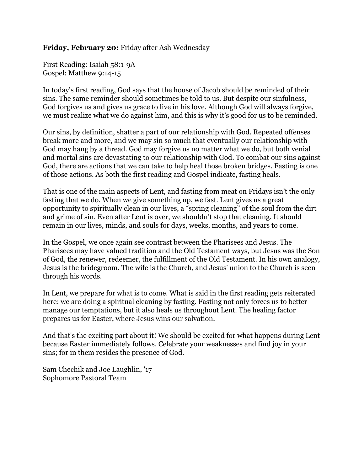#### **Friday, February 20:** Friday after Ash Wednesday

First Reading: Isaiah 58:19A Gospel: Matthew 9:14-15

In today's first reading, God says that the house of Jacob should be reminded of their sins. The same reminder should sometimes be told to us. But despite our sinfulness, God forgives us and gives us grace to live in his love. Although God will always forgive, we must realize what we do against him, and this is why it's good for us to be reminded.

Our sins, by definition, shatter a part of our relationship with God. Repeated offenses break more and more, and we may sin so much that eventually our relationship with God may hang by a thread. God may forgive us no matter what we do, but both venial and mortal sins are devastating to our relationship with God. To combat our sins against God, there are actions that we can take to help heal those broken bridges. Fasting is one of those actions. As both the first reading and Gospel indicate, fasting heals.

That is one of the main aspects of Lent, and fasting from meat on Fridays isn't the only fasting that we do. When we give something up, we fast. Lent gives us a great opportunity to spiritually clean in our lives, a "spring cleaning" of the soul from the dirt and grime of sin. Even after Lent is over, we shouldn't stop that cleaning. It should remain in our lives, minds, and souls for days, weeks, months, and years to come.

In the Gospel, we once again see contrast between the Pharisees and Jesus. The Pharisees may have valued tradition and the Old Testament ways, but Jesus was the Son of God, the renewer, redeemer, the fulfillment of the Old Testament. In his own analogy, Jesus is the bridegroom. The wife is the Church, and Jesus' union to the Church is seen through his words.

In Lent, we prepare for what is to come. What is said in the first reading gets reiterated here: we are doing a spiritual cleaning by fasting. Fasting not only forces us to better manage our temptations, but it also heals us throughout Lent. The healing factor prepares us for Easter, where Jesus wins our salvation.

And that's the exciting part about it! We should be excited for what happens during Lent because Easter immediately follows. Celebrate your weaknesses and find joy in your sins; for in them resides the presence of God.

Sam Chechik and Joe Laughlin, '17 Sophomore Pastoral Team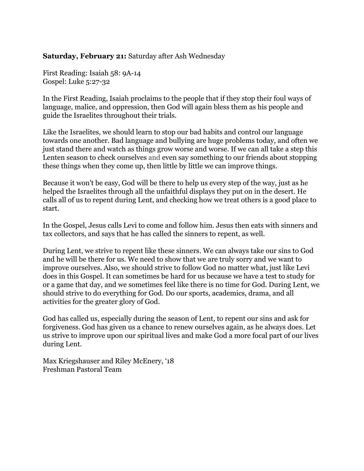#### **Saturday, February 21:** Saturday after Ash Wednesday

First Reading: Isaiah 58: 9A-14 Gospel: Luke 5:27-32

In the First Reading, Isaiah proclaims to the people that if they stop their foul ways of language, malice, and oppression, then God will again bless them as his people and guide the Israelites throughout their trials.

Like the Israelites, we should learn to stop our bad habits and control our language towards one another. Bad language and bullying are huge problems today, and often we just stand there and watch as things grow worse and worse. If we can all take a step this Lenten season to check ourselves and even say something to our friends about stopping these things when they come up, then little by little we can improve things.

Because it won't be easy, God will be there to help us every step of the way, just as he helped the Israelites through all the unfaithful displays they put on in the desert. He calls all of us to repent during Lent, and checking how we treat others is a good place to start.

In the Gospel, Jesus calls Levi to come and follow him. Jesus then eats with sinners and tax collectors, and says that he has called the sinners to repent, as well.

During Lent, we strive to repent like these sinners. We can always take our sins to God and he will be there for us. We need to show that we are truly sorry and we want to improve ourselves. Also, we should strive to follow God no matter what, just like Levi does in this Gospel. It can sometimes be hard for us because we have a test to study for or a game that day, and we sometimes feel like there is no time for God. During Lent, we should strive to do everything for God. Do our sports, academics, drama, and all activities for the greater glory of God.

God has called us, especially during the season of Lent, to repent our sins and ask for forgiveness. God has given us a chance to renew ourselves again, as he always does. Let us strive to improve upon our spiritual lives and make God a more focal part of our lives during Lent.

Max Kriegshauser and Riley McEnery, '18 Freshman Pastoral Team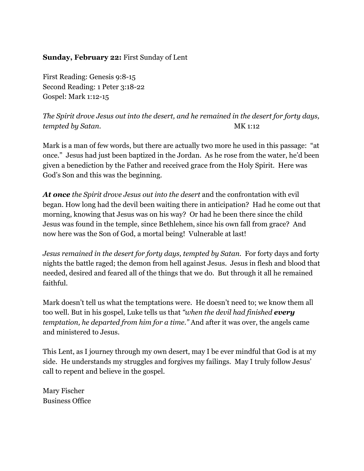#### **Sunday, February 22:** First Sunday of Lent

First Reading: Genesis 9:8-15 Second Reading: 1 Peter 3:18-22 Gospel: Mark 1:12-15

*The Spirit drove Jesus out into the desert, and he remained in the desert for forty days, tempted by Satan.* MK 1:12

Mark is a man of few words, but there are actually two more he used in this passage: "at once." Jesus had just been baptized in the Jordan. As he rose from the water, he'd been given a benediction by the Father and received grace from the Holy Spirit. Here was God's Son and this was the beginning.

*At oncethe Spirit drove Jesus out into the desert* and the confrontation with evil began. How long had the devil been waiting there in anticipation? Had he come out that morning, knowing that Jesus was on his way? Or had he been there since the child Jesus was found in the temple, since Bethlehem, since his own fall from grace? And now here was the Son of God, a mortal being! Vulnerable at last!

*Jesus remained in the desert for forty days, tempted by Satan.* For forty days and forty nights the battle raged; the demon from hell against Jesus. Jesus in flesh and blood that needed, desired and feared all of the things that we do. But through it all he remained faithful.

Mark doesn't tell us what the temptations were. He doesn't need to; we know them all too well. But in his gospel, Luke tells us that *"when the devil had finished every temptation, he departed from him for a time."* And after it was over, the angels came and ministered to Jesus.

This Lent, as I journey through my own desert, may I be ever mindful that God is at my side. He understands my struggles and forgives my failings. May I truly follow Jesus' call to repent and believe in the gospel.

Mary Fischer Business Office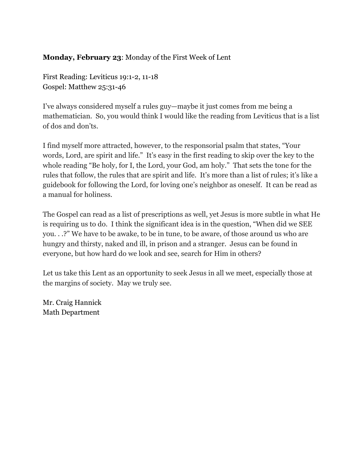# **Monday, February 23**: Monday of the First Week of Lent

First Reading: Leviticus 19:1-2, 11-18 Gospel: Matthew 25:31-46

I've always considered myself a rules guy—maybe it just comes from me being a mathematician. So, you would think I would like the reading from Leviticus that is a list of dos and don'ts.

I find myself more attracted, however, to the responsorial psalm that states, "Your words, Lord, are spirit and life." It's easy in the first reading to skip over the key to the whole reading "Be holy, for I, the Lord, your God, am holy." That sets the tone for the rules that follow, the rules that are spirit and life. It's more than a list of rules; it's like a guidebook for following the Lord, for loving one's neighbor as oneself. It can be read as a manual for holiness.

The Gospel can read as a list of prescriptions as well, yet Jesus is more subtle in what He is requiring us to do. I think the significant idea is in the question, "When did we SEE you. . .?" We have to be awake, to be in tune, to be aware, of those around us who are hungry and thirsty, naked and ill, in prison and a stranger. Jesus can be found in everyone, but how hard do we look and see, search for Him in others?

Let us take this Lent as an opportunity to seek Jesus in all we meet, especially those at the margins of society. May we truly see.

Mr. Craig Hannick Math Department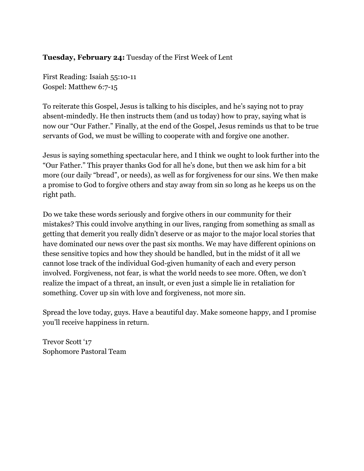#### **Tuesday, February 24:** Tuesday of the First Week of Lent

First Reading: Isaiah 55:10-11 Gospel: Matthew 6:7-15

To reiterate this Gospel, Jesus is talking to his disciples, and he's saying not to pray absent-mindedly. He then instructs them (and us today) how to pray, saying what is now our "Our Father." Finally, at the end of the Gospel, Jesus reminds us that to be true servants of God, we must be willing to cooperate with and forgive one another.

Jesus is saying something spectacular here, and I think we ought to look further into the "Our Father." This prayer thanks God for all he's done, but then we ask him for a bit more (our daily "bread", or needs), as well as for forgiveness for our sins. We then make a promise to God to forgive others and stay away from sin so long as he keeps us on the right path.

Do we take these words seriously and forgive others in our community for their mistakes? This could involve anything in our lives, ranging from something as small as getting that demerit you really didn't deserve or as major to the major local stories that have dominated our news over the past six months. We may have different opinions on these sensitive topics and how they should be handled, but in the midst of it all we cannot lose track of the individual God-given humanity of each and every person involved. Forgiveness, not fear, is what the world needs to see more. Often, we don't realize the impact of a threat, an insult, or even just a simple lie in retaliation for something. Cover up sin with love and forgiveness, not more sin.

Spread the love today, guys. Have a beautiful day. Make someone happy, and I promise you'll receive happiness in return.

Trevor Scott '17 Sophomore Pastoral Team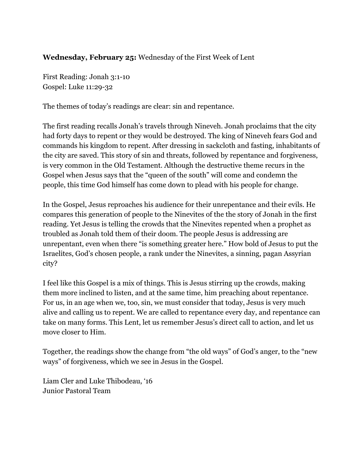#### **Wednesday, February 25:** Wednesday of the First Week of Lent

First Reading: Jonah 3:1-10 Gospel: Luke 11:29-32

The themes of today's readings are clear: sin and repentance.

The first reading recalls Jonah's travels through Nineveh. Jonah proclaims that the city had forty days to repent or they would be destroyed. The king of Nineveh fears God and commands his kingdom to repent. After dressing in sackcloth and fasting, inhabitants of the city are saved. This story of sin and threats, followed by repentance and forgiveness, is very common in the Old Testament. Although the destructive theme recurs in the Gospel when Jesus says that the "queen of the south" will come and condemn the people, this time God himself has come down to plead with his people for change.

In the Gospel, Jesus reproaches his audience for their unrepentance and their evils. He compares this generation of people to the Ninevites of the the story of Jonah in the first reading. Yet Jesus is telling the crowds that the Ninevites repented when a prophet as troubled as Jonah told them of their doom. The people Jesus is addressing are unrepentant, even when there "is something greater here." How bold of Jesus to put the Israelites, God's chosen people, a rank under the Ninevites, a sinning, pagan Assyrian city?

I feel like this Gospel is a mix of things. This is Jesus stirring up the crowds, making them more inclined to listen, and at the same time, him preaching about repentance. For us, in an age when we, too, sin, we must consider that today, Jesus is very much alive and calling us to repent. We are called to repentance every day, and repentance can take on many forms. This Lent, let us remember Jesus's direct call to action, and let us move closer to Him.

Together, the readings show the change from "the old ways" of God's anger, to the "new ways" of forgiveness, which we see in Jesus in the Gospel.

Liam Cler and Luke Thibodeau, '16 Junior Pastoral Team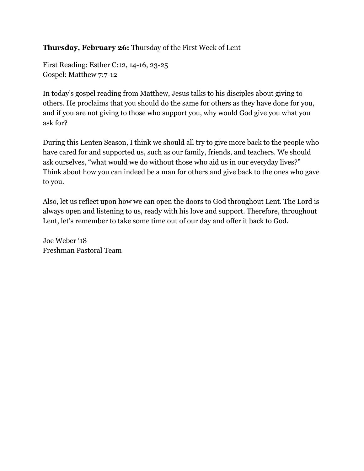# **Thursday, February 26:** Thursday of the First Week of Lent

First Reading: Esther C:12, 14-16, 23-25 Gospel: Matthew 7:7-12

In today's gospel reading from Matthew, Jesus talks to his disciples about giving to others. He proclaims that you should do the same for others as they have done for you, and if you are not giving to those who support you, why would God give you what you ask for?

During this Lenten Season, I think we should all try to give more back to the people who have cared for and supported us, such as our family, friends, and teachers. We should ask ourselves, "what would we do without those who aid us in our everyday lives?" Think about how you can indeed be a man for others and give back to the ones who gave to you.

Also, let us reflect upon how we can open the doors to God throughout Lent. The Lord is always open and listening to us, ready with his love and support. Therefore, throughout Lent, let's remember to take some time out of our day and offer it back to God.

Joe Weber '18 Freshman Pastoral Team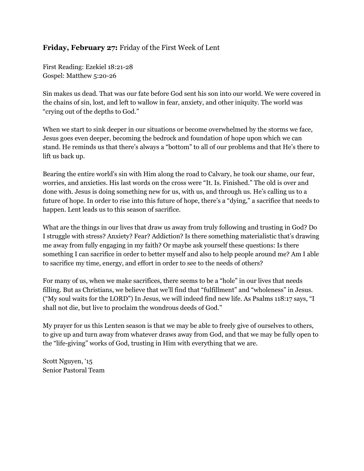#### **Friday, February 27:** Friday of the First Week of Lent

First Reading: Ezekiel 18:21-28 Gospel: Matthew 5:20-26

Sin makes us dead. That was our fate before God sent his son into our world. We were covered in the chains of sin, lost, and left to wallow in fear, anxiety, and other iniquity. The world was "crying out of the depths to God."

When we start to sink deeper in our situations or become overwhelmed by the storms we face, Jesus goes even deeper, becoming the bedrock and foundation of hope upon which we can stand. He reminds us that there's always a "bottom" to all of our problems and that He's there to lift us back up.

Bearing the entire world's sin with Him along the road to Calvary, he took our shame, our fear, worries, and anxieties. His last words on the cross were "It. Is. Finished." The old is over and done with. Jesus is doing something new for us, with us, and through us. He's calling us to a future of hope. In order to rise into this future of hope, there's a "dying," a sacrifice that needs to happen. Lent leads us to this season of sacrifice.

What are the things in our lives that draw us away from truly following and trusting in God? Do I struggle with stress? Anxiety? Fear? Addiction? Is there something materialistic that's drawing me away from fully engaging in my faith? Or maybe ask yourself these questions: Is there something I can sacrifice in order to better myself and also to help people around me? Am I able to sacrifice my time, energy, and effort in order to see to the needs of others?

For many of us, when we make sacrifices, there seems to be a "hole" in our lives that needs filling. But as Christians, we believe that we'll find that "fulfillment" and "wholeness" in Jesus. ("My soul waits for the LORD") In Jesus, we will indeed find new life. As Psalms 118:17 says, "I shall not die, but live to proclaim the wondrous deeds of God."

My prayer for us this Lenten season is that we may be able to freely give of ourselves to others, to give up and turn away from whatever draws away from God, and that we may be fully open to the "life-giving" works of God, trusting in Him with everything that we are.

Scott Nguyen, '15 Senior Pastoral Team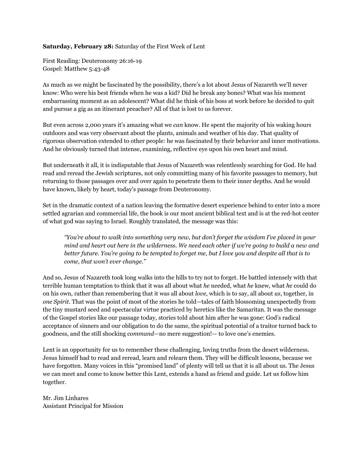#### **Saturday, February 28:** Saturday of the First Week of Lent

First Reading: Deuteronomy 26:1619 Gospel: Matthew 5:43-48

As much as we might be fascinated by the possibility, there's a lot about Jesus of Nazareth we'll never know: Who were his best friends when he was a kid? Did he break any bones? What was his moment embarrassing moment as an adolescent? What did he think of his boss at work before he decided to quit and pursue a gig as an itinerant preacher? All of that is lost to us forever.

But even across 2,000 years it's amazing what we *can* know. He spent the majority of his waking hours outdoors and was very observant about the plants, animals and weather of his day. That quality of rigorous observation extended to other people: he was fascinated by their behavior and inner motivations. And he obviously turned that intense, examining, reflective eye upon his own heart and mind.

But underneath it all, it is indisputable that Jesus of Nazareth was relentlessly searching for God. He had read and reread the Jewish scriptures, not only committing many of his favorite passages to memory, but returning to those passages over and over again to penetrate them to their inner depths. And he would have known, likely by heart, today's passage from Deuteronomy.

Set in the dramatic context of a nation leaving the formative desert experience behind to enter into a more settled agrarian and commercial life, the book is our most ancient biblical text and is at the red-hot center of what god was saying to Israel. Roughly translated, the message was this:

*"You're about to walk into something very new, but don't forget the wisdom I've placed in your* mind and heart out here in the wilderness. We need each other if we're going to build a new and better future. You're going to be tempted to forget me, but I love you and despite all that is to *come, that won't ever change."*

And so, Jesus of Nazareth took long walks into the hills to try not to forget. He battled intensely with that terrible human temptation to think that it was all about what *he* needed, what *he* knew, what *h*e could do on his own, rather than remembering that it was all about *love*, which is to say, all about *us*, together, in *one Spirit*. That was the point of most of the stories he told—tales of faith blossoming unexpectedly from the tiny mustard seed and spectacular virtue practiced by heretics like the Samaritan. It was the message of the Gospel stories like our passage today, stories told about him after he was gone: God's radical acceptance of sinners and our obligation to do the same, the spiritual potential of a traitor turned back to goodness, and the still shocking *command*—no mere suggestion!— to love one's enemies.

Lent is an opportunity for us to remember these challenging, loving truths from the desert wilderness. Jesus himself had to read and reread, learn and relearn them. They will be difficult lessons, because we have forgotten. Many voices in this "promised land" of plenty will tell us that it is all about us. The Jesus we can meet and come to know better this Lent, extends a hand as friend and guide. Let us follow him together.

Mr. Jim Linhares Assistant Principal for Mission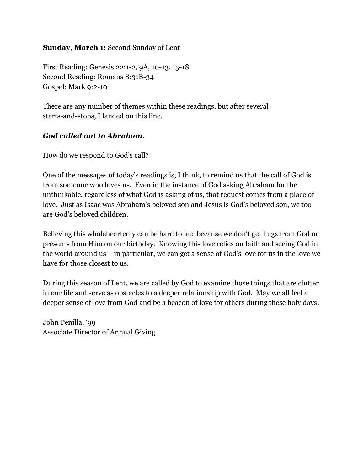#### **Sunday, March 1:**Second Sunday of Lent

First Reading: Genesis 22:1-2, 9A, 10-13, 15-18 Second Reading: Romans 8:31B-34 Gospel: Mark 9:2-10

There are any number of themes within these readings, but after several starts-and-stops, I landed on this line.

# *God called out to Abraham.*

How do we respond to God's call?

One of the messages of today's readings is, I think, to remind us that the call of God is from someone who loves us. Even in the instance of God asking Abraham for the unthinkable, regardless of what God is asking of us, that request comes from a place of love. Just as Isaac was Abraham's beloved son and Jesus is God's beloved son, we too are God's beloved children.

Believing this wholeheartedly can be hard to feel because we don't get hugs from God or presents from Him on our birthday. Knowing this love relies on faith and seeing God in the world around us – in particular, we can get a sense of God's love for us in the love we have for those closest to us.

During this season of Lent, we are called by God to examine those things that are clutter in our life and serve as obstacles to a deeper relationship with God. May we all feel a deeper sense of love from God and be a beacon of love for others during these holy days.

John Penilla, '99 Associate Director of Annual Giving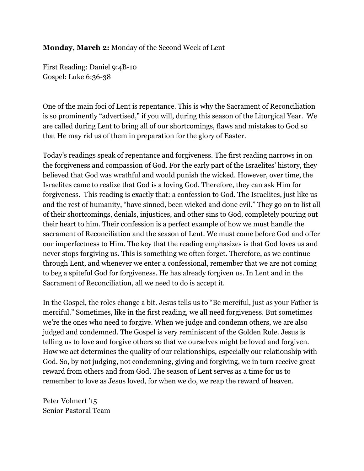#### **Monday, March 2:** Monday of the Second Week of Lent

First Reading: Daniel 9:4B10 Gospel: Luke 6:36-38

One of the main foci of Lent is repentance. This is why the Sacrament of Reconciliation is so prominently "advertised," if you will, during this season of the Liturgical Year. We are called during Lent to bring all of our shortcomings, flaws and mistakes to God so that He may rid us of them in preparation for the glory of Easter.

Today's readings speak of repentance and forgiveness. The first reading narrows in on the forgiveness and compassion of God. For the early part of the Israelites' history, they believed that God was wrathful and would punish the wicked. However, over time, the Israelites came to realize that God is a loving God. Therefore, they can ask Him for forgiveness. This reading is exactly that: a confession to God. The Israelites, just like us and the rest of humanity, "have sinned, been wicked and done evil." They go on to list all of their shortcomings, denials, injustices, and other sins to God, completely pouring out their heart to him. Their confession is a perfect example of how we must handle the sacrament of Reconciliation and the season of Lent. We must come before God and offer our imperfectness to Him. The key that the reading emphasizes is that God loves us and never stops forgiving us. This is something we often forget. Therefore, as we continue through Lent, and whenever we enter a confessional, remember that we are not coming to beg a spiteful God for forgiveness. He has already forgiven us. In Lent and in the Sacrament of Reconciliation, all we need to do is accept it.

In the Gospel, the roles change a bit. Jesus tells us to "Be merciful, just as your Father is merciful." Sometimes, like in the first reading, we all need forgiveness. But sometimes we're the ones who need to forgive. When we judge and condemn others, we are also judged and condemned. The Gospel is very reminiscent of the Golden Rule. Jesus is telling us to love and forgive others so that we ourselves might be loved and forgiven. How we act determines the quality of our relationships, especially our relationship with God. So, by not judging, not condemning, giving and forgiving, we in turn receive great reward from others and from God. The season of Lent serves as a time for us to remember to love as Jesus loved, for when we do, we reap the reward of heaven.

Peter Volmert '15 Senior Pastoral Team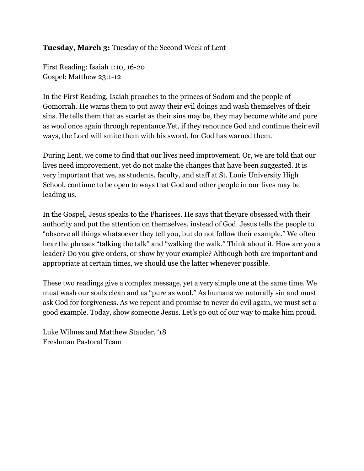#### **Tuesday, March 3:** Tuesday of the Second Week of Lent

First Reading: Isaiah 1:10, 1620 Gospel: Matthew 23:1-12

In the First Reading, Isaiah preaches to the princes of Sodom and the people of Gomorrah. He warns them to put away their evil doings and wash themselves of their sins. He tells them that as scarlet as their sins may be, they may become white and pure as wool once again through repentance.Yet, if they renounce God and continue their evil ways, the Lord will smite them with his sword, for God has warned them.

During Lent, we come to find that our lives need improvement. Or, we are told that our lives need improvement, yet do not make the changes that have been suggested. It is very important that we, as students, faculty, and staff at St. Louis University High School, continue to be open to ways that God and other people in our lives may be leading us.

In the Gospel, Jesus speaks to the Pharisees. He says that theyare obsessed with their authority and put the attention on themselves, instead of God. Jesus tells the people to "observe all things whatsoever they tell you, but do not follow their example." We often hear the phrases "talking the talk" and "walking the walk." Think about it. How are you a leader? Do you give orders, or show by your example? Although both are important and appropriate at certain times, we should use the latter whenever possible.

These two readings give a complex message, yet a very simple one at the same time. We must wash our souls clean and as "pure as wool." As humans we naturally sin and must ask God for forgiveness. As we repent and promise to never do evil again, we must set a good example. Today, show someone Jesus. Let's go out of our way to make him proud.

Luke Wilmes and Matthew Stauder, '18 Freshman Pastoral Team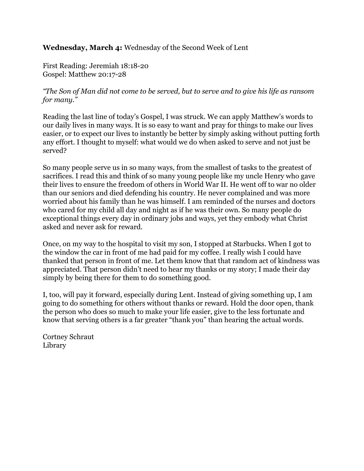**Wednesday, March 4:** Wednesday of the Second Week of Lent

First Reading: Jeremiah 18:18-20 Gospel: Matthew 20:17-28

## "The Son of Man did not come to be served, but to serve and to give his life as ransom *for many."*

Reading the last line of today's Gospel, I was struck. We can apply Matthew's words to our daily lives in many ways. It is so easy to want and pray for things to make our lives easier, or to expect our lives to instantly be better by simply asking without putting forth any effort. I thought to myself: what would we do when asked to serve and not just be served?

So many people serve us in so many ways, from the smallest of tasks to the greatest of sacrifices. I read this and think of so many young people like my uncle Henry who gave their lives to ensure the freedom of others in World War II. He went off to war no older than our seniors and died defending his country. He never complained and was more worried about his family than he was himself. I am reminded of the nurses and doctors who cared for my child all day and night as if he was their own. So many people do exceptional things every day in ordinary jobs and ways, yet they embody what Christ asked and never ask for reward.

Once, on my way to the hospital to visit my son, I stopped at Starbucks. When I got to the window the car in front of me had paid for my coffee. I really wish I could have thanked that person in front of me. Let them know that that random act of kindness was appreciated. That person didn't need to hear my thanks or my story; I made their day simply by being there for them to do something good.

I, too, will pay it forward, especially during Lent. Instead of giving something up, I am going to do something for others without thanks or reward. Hold the door open, thank the person who does so much to make your life easier, give to the less fortunate and know that serving others is a far greater "thank you" than hearing the actual words.

Cortney Schraut Library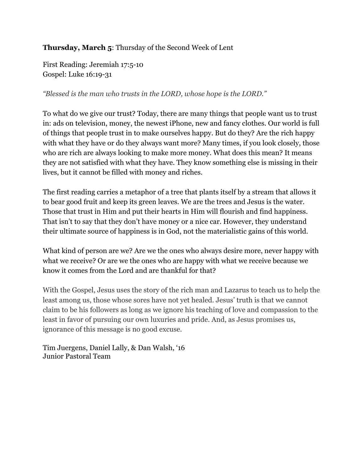**Thursday, March 5**: Thursday of the Second Week of Lent

First Reading: Jeremiah 17:510 Gospel: Luke 16:19-31

*"Blessed is the man who trusts in the LORD, whose hope is the LORD."*

To what do we give our trust? Today, there are many things that people want us to trust in: ads on television, money, the newest iPhone, new and fancy clothes. Our world is full of things that people trust in to make ourselves happy. But do they? Are the rich happy with what they have or do they always want more? Many times, if you look closely, those who are rich are always looking to make more money. What does this mean? It means they are not satisfied with what they have. They know something else is missing in their lives, but it cannot be filled with money and riches.

The first reading carries a metaphor of a tree that plants itself by a stream that allows it to bear good fruit and keep its green leaves. We are the trees and Jesus is the water. Those that trust in Him and put their hearts in Him will flourish and find happiness. That isn't to say that they don't have money or a nice car. However, they understand their ultimate source of happiness is in God, not the materialistic gains of this world.

What kind of person are we? Are we the ones who always desire more, never happy with what we receive? Or are we the ones who are happy with what we receive because we know it comes from the Lord and are thankful for that?

With the Gospel, Jesus uses the story of the rich man and Lazarus to teach us to help the least among us, those whose sores have not yet healed. Jesus' truth is that we cannot claim to be his followers as long as we ignore his teaching of love and compassion to the least in favor of pursuing our own luxuries and pride. And, as Jesus promises us, ignorance of this message is no good excuse.

Tim Juergens, Daniel Lally, & Dan Walsh, '16 Junior Pastoral Team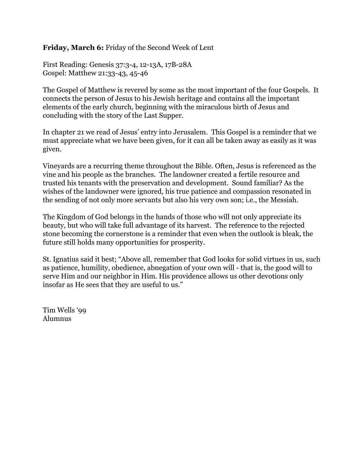**Friday, March 6:**Friday of the Second Week of Lent

First Reading: Genesis 37:3-4, 12-13A, 17B-28A Gospel: Matthew 21:33-43, 45-46

The Gospel of Matthew is revered by some as the most important of the four Gospels. It connects the person of Jesus to his Jewish heritage and contains all the important elements of the early church, beginning with the miraculous birth of Jesus and concluding with the story of the Last Supper.

In chapter 21 we read of Jesus' entry into Jerusalem. This Gospel is a reminder that we must appreciate what we have been given, for it can all be taken away as easily as it was given.

Vineyards are a recurring theme throughout the Bible. Often, Jesus is referenced as the vine and his people as the branches. The landowner created a fertile resource and trusted his tenants with the preservation and development. Sound familiar? As the wishes of the landowner were ignored, his true patience and compassion resonated in the sending of not only more servants but also his very own son; i.e., the Messiah.

The Kingdom of God belongs in the hands of those who will not only appreciate its beauty, but who will take full advantage of its harvest. The reference to the rejected stone becoming the cornerstone is a reminder that even when the outlook is bleak, the future still holds many opportunities for prosperity.

St. Ignatius said it best; "Above all, remember that God looks for solid virtues in us, such as patience, humility, obedience, abnegation of your own will - that is, the good will to serve Him and our neighbor in Him. His providence allows us other devotions only insofar as He sees that they are useful to us."

Tim Wells '99 Alumnus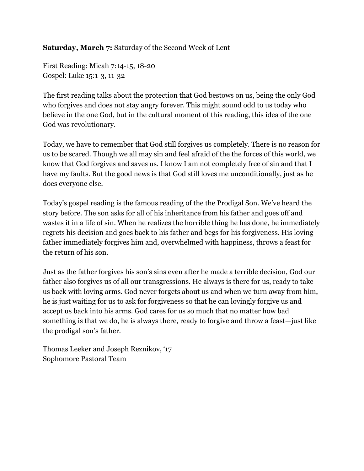# **Saturday, March 7:**Saturday of the Second Week of Lent

First Reading: Micah 7:14-15, 18-20 Gospel: Luke 15:1-3, 11-32

The first reading talks about the protection that God bestows on us, being the only God who forgives and does not stay angry forever. This might sound odd to us today who believe in the one God, but in the cultural moment of this reading, this idea of the one God was revolutionary.

Today, we have to remember that God still forgives us completely. There is no reason for us to be scared. Though we all may sin and feel afraid of the the forces of this world, we know that God forgives and saves us. I know I am not completely free of sin and that I have my faults. But the good news is that God still loves me unconditionally, just as he does everyone else.

Today's gospel reading is the famous reading of the the Prodigal Son. We've heard the story before. The son asks for all of his inheritance from his father and goes off and wastes it in a life of sin. When he realizes the horrible thing he has done, he immediately regrets his decision and goes back to his father and begs for his forgiveness. His loving father immediately forgives him and, overwhelmed with happiness, throws a feast for the return of his son.

Just as the father forgives his son's sins even after he made a terrible decision, God our father also forgives us of all our transgressions. He always is there for us, ready to take us back with loving arms. God never forgets about us and when we turn away from him, he is just waiting for us to ask for forgiveness so that he can lovingly forgive us and accept us back into his arms. God cares for us so much that no matter how bad something is that we do, he is always there, ready to forgive and throw a feast—just like the prodigal son's father.

Thomas Leeker and Joseph Reznikov, '17 Sophomore Pastoral Team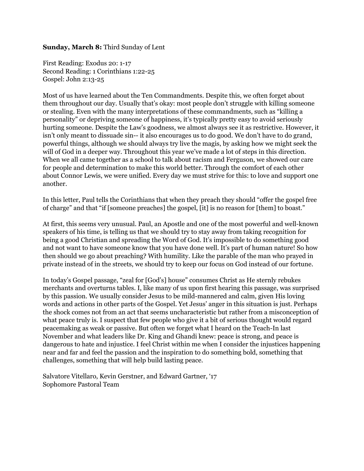#### **Sunday, March 8:**Third Sunday of Lent

First Reading: Exodus 20: 1-17 Second Reading: 1 Corinthians 1:22-25 Gospel: John 2:13-25

Most of us have learned about the Ten Commandments. Despite this, we often forget about them throughout our day. Usually that's okay: most people don't struggle with killing someone or stealing. Even with the many interpretations of these commandments, such as "killing a personality" or depriving someone of happiness, it's typically pretty easy to avoid seriously hurting someone. Despite the Law's goodness, we almost always see it as restrictive. However, it isn't only meant to dissuade sin-- it also encourages us to do good. We don't have to do grand, powerful things, although we should always try live the magis, by asking how we might seek the will of God in a deeper way. Throughout this year we've made a lot of steps in this direction. When we all came together as a school to talk about racism and Ferguson, we showed our care for people and determination to make this world better. Through the comfort of each other about Connor Lewis, we were unified. Every day we must strive for this: to love and support one another.

In this letter, Paul tells the Corinthians that when they preach they should "offer the gospel free of charge" and that "if [someone preaches] the gospel, [it] is no reason for [them] to boast."

At first, this seems very unusual. Paul, an Apostle and one of the most powerful and well-known speakers of his time, is telling us that we should try to stay away from taking recognition for being a good Christian and spreading the Word of God. It's impossible to do something good and not want to have someone know that you have done well. It's part of human nature! So how then should we go about preaching? With humility. Like the parable of the man who prayed in private instead of in the streets, we should try to keep our focus on God instead of our fortune.

In today's Gospel passage, "zeal for [God's] house" consumes Christ as He sternly rebukes merchants and overturns tables. I, like many of us upon first hearing this passage, was surprised by this passion. We usually consider Jesus to be mild-mannered and calm, given His loving words and actions in other parts of the Gospel. Yet Jesus' anger in this situation is just. Perhaps the shock comes not from an act that seems uncharacteristic but rather from a misconception of what peace truly is. I suspect that few people who give it a bit of serious thought would regard peacemaking as weak or passive. But often we forget what I heard on the Teach-In last November and what leaders like Dr. King and Ghandi knew: peace is strong, and peace is dangerous to hate and injustice. I feel Christ within me when I consider the injustices happening near and far and feel the passion and the inspiration to do something bold, something that challenges, something that will help build lasting peace.

Salvatore Vitellaro, Kevin Gerstner, and Edward Gartner, '17 Sophomore Pastoral Team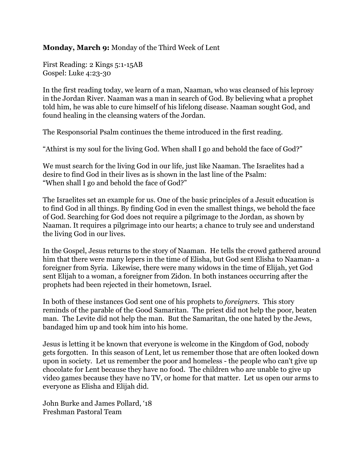#### **Monday, March 9:**Monday of the Third Week of Lent

First Reading: 2 Kings 5:1-15AB Gospel: Luke 4:23-30

In the first reading today, we learn of a man, Naaman, who was cleansed of his leprosy in the Jordan River. Naaman was a man in search of God. By believing what a prophet told him, he was able to cure himself of his lifelong disease. Naaman sought God, and found healing in the cleansing waters of the Jordan.

The Responsorial Psalm continues the theme introduced in the first reading.

"Athirst is my soul for the living God. When shall I go and behold the face of God?"

We must search for the living God in our life, just like Naaman. The Israelites had a desire to find God in their lives as is shown in the last line of the Psalm: "When shall I go and behold the face of God?"

The Israelites set an example for us. One of the basic principles of a Jesuit education is to find God in all things. By finding God in even the smallest things, we behold the face of God. Searching for God does not require a pilgrimage to the Jordan, as shown by Naaman. It requires a pilgrimage into our hearts; a chance to truly see and understand the living God in our lives.

In the Gospel, Jesus returns to the story of Naaman. He tells the crowd gathered around him that there were many lepers in the time of Elisha, but God sent Elisha to Naaman- a foreigner from Syria. Likewise, there were many widows in the time of Elijah, yet God sent Elijah to a woman, a foreigner from Zidon. In both instances occurring after the prophets had been rejected in their hometown, Israel.

In both of these instances God sent one of his prophets to *foreigners*. This story reminds of the parable of the Good Samaritan. The priest did not help the poor, beaten man. The Levite did not help the man. But the Samaritan, the one hated by the Jews, bandaged him up and took him into his home.

Jesus is letting it be known that everyone is welcome in the Kingdom of God, nobody gets forgotten. In this season of Lent, let us remember those that are often looked down upon in society. Let us remember the poor and homeless the people who can't give up chocolate for Lent because they have no food. The children who are unable to give up video games because they have no TV, or home for that matter. Let us open our arms to everyone as Elisha and Elijah did.

John Burke and James Pollard, '18 Freshman Pastoral Team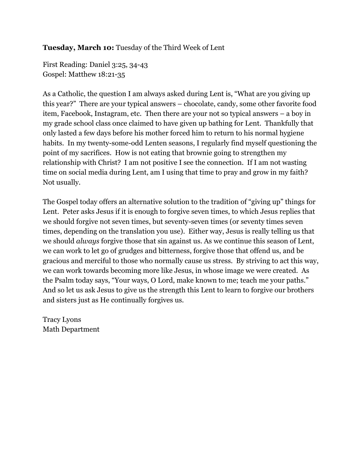#### **Tuesday, March 10:**Tuesday of the Third Week of Lent

First Reading: Daniel 3:25, 34-43 Gospel: Matthew 18:21-35

As a Catholic, the question I am always asked during Lent is, "What are you giving up this year?" There are your typical answers – chocolate, candy, some other favorite food item, Facebook, Instagram, etc. Then there are your not so typical answers – a boy in my grade school class once claimed to have given up bathing for Lent. Thankfully that only lasted a few days before his mother forced him to return to his normal hygiene habits. In my twenty-some-odd Lenten seasons, I regularly find myself questioning the point of my sacrifices. How is not eating that brownie going to strengthen my relationship with Christ? I am not positive I see the connection. If I am not wasting time on social media during Lent, am I using that time to pray and grow in my faith? Not usually.

The Gospel today offers an alternative solution to the tradition of "giving up" things for Lent. Peter asks Jesus if it is enough to forgive seven times, to which Jesus replies that we should forgive not seven times, but seventy-seven times (or seventy times seven times, depending on the translation you use). Either way, Jesus is really telling us that we should *always* forgive those that sin against us. As we continue this season of Lent, we can work to let go of grudges and bitterness, forgive those that offend us, and be gracious and merciful to those who normally cause us stress. By striving to act this way, we can work towards becoming more like Jesus, in whose image we were created. As the Psalm today says, "Your ways, O Lord, make known to me; teach me your paths." And so let us ask Jesus to give us the strength this Lent to learn to forgive our brothers and sisters just as He continually forgives us.

Tracy Lyons Math Department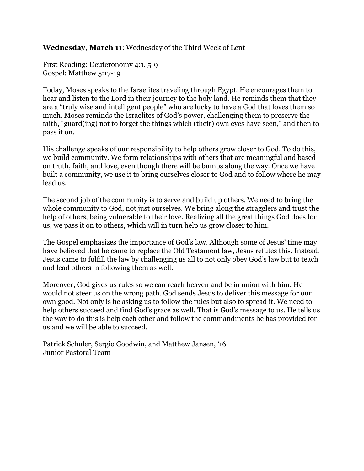#### **Wednesday, March 11**: Wednesday of the Third Week of Lent

First Reading: Deuteronomy 4:1, 5-9 Gospel: Matthew 5:17-19

Today, Moses speaks to the Israelites traveling through Egypt. He encourages them to hear and listen to the Lord in their journey to the holy land. He reminds them that they are a "truly wise and intelligent people" who are lucky to have a God that loves them so much. Moses reminds the Israelites of God's power, challenging them to preserve the faith, "guard(ing) not to forget the things which (their) own eyes have seen," and then to pass it on.

His challenge speaks of our responsibility to help others grow closer to God. To do this, we build community. We form relationships with others that are meaningful and based on truth, faith, and love, even though there will be bumps along the way. Once we have built a community, we use it to bring ourselves closer to God and to follow where he may lead us.

The second job of the community is to serve and build up others. We need to bring the whole community to God, not just ourselves. We bring along the stragglers and trust the help of others, being vulnerable to their love. Realizing all the great things God does for us, we pass it on to others, which will in turn help us grow closer to him.

The Gospel emphasizes the importance of God's law. Although some of Jesus' time may have believed that he came to replace the Old Testament law, Jesus refutes this. Instead, Jesus came to fulfill the law by challenging us all to not only obey God's law but to teach and lead others in following them as well.

Moreover, God gives us rules so we can reach heaven and be in union with him. He would not steer us on the wrong path. God sends Jesus to deliver this message for our own good. Not only is he asking us to follow the rules but also to spread it. We need to help others succeed and find God's grace as well. That is God's message to us. He tells us the way to do this is help each other and follow the commandments he has provided for us and we will be able to succeed.

Patrick Schuler, Sergio Goodwin, and Matthew Jansen, '16 Junior Pastoral Team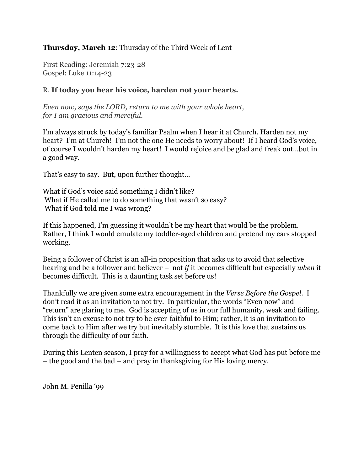#### **Thursday, March 12**: Thursday of the Third Week of Lent

First Reading: Jeremiah 7:23-28 Gospel: Luke 11:14-23

#### R. **If today you hear his voice, harden not your hearts.**

*Even now, says the LORD, return to me with your whole heart, for I am gracious and merciful.*

I'm always struck by today's familiar Psalm when I hear it at Church. Harden not my heart? I'm at Church! I'm not the one He needs to worry about! If I heard God's voice, of course I wouldn't harden my heart! I would rejoice and be glad and freak out…but in a good way.

That's easy to say. But, upon further thought…

What if God's voice said something I didn't like? What if He called me to do something that wasn't so easy? What if God told me I was wrong?

If this happened, I'm guessing it wouldn't be my heart that would be the problem. Rather, I think I would emulate my toddler-aged children and pretend my ears stopped working.

Being a follower of Christ is an all-in proposition that asks us to avoid that selective hearing and be a follower and believer – not *if* it becomes difficult but especially *when* it becomes difficult. This is a daunting task set before us!

Thankfully we are given some extra encouragement in the *Verse Before the Gospel*. I don't read it as an invitation to not try. In particular, the words "Even now" and "return" are glaring to me. God is accepting of us in our full humanity, weak and failing. This isn't an excuse to not try to be ever-faithful to Him; rather, it is an invitation to come back to Him after we try but inevitably stumble. It is this love that sustains us through the difficulty of our faith.

During this Lenten season, I pray for a willingness to accept what God has put before me – the good and the bad – and pray in thanksgiving for His loving mercy.

John M. Penilla '99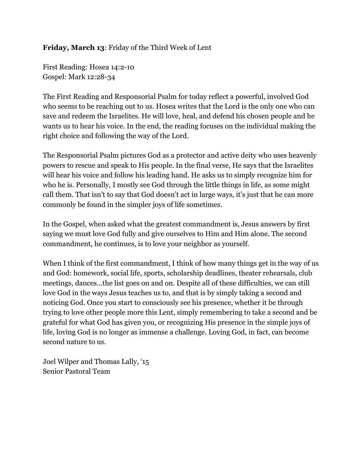## **Friday, March 13**: Friday of the Third Week of Lent

First Reading: Hosea 14:2-10 Gospel: Mark 12:28-34

The First Reading and Responsorial Psalm for today reflect a powerful, involved God who seems to be reaching out to us. Hosea writes that the Lord is the only one who can save and redeem the Israelites. He will love, heal, and defend his chosen people and he wants us to hear his voice. In the end, the reading focuses on the individual making the right choice and following the way of the Lord.

The Responsorial Psalm pictures God as a protector and active deity who uses heavenly powers to rescue and speak to His people. In the final verse, He says that the Israelites will hear his voice and follow his leading hand. He asks us to simply recognize him for who he is. Personally, I mostly see God through the little things in life, as some might call them. That isn't to say that God doesn't act in large ways, it's just that he can more commonly be found in the simpler joys of life sometimes.

In the Gospel, when asked what the greatest commandment is, Jesus answers by first saying we must love God fully and give ourselves to Him and Him alone. The second commandment, he continues, is to love your neighbor as yourself.

When I think of the first commandment, I think of how many things get in the way of us and God: homework, social life, sports, scholarship deadlines, theater rehearsals, club meetings, dances...the list goes on and on. Despite all of these difficulties, we can still love God in the ways Jesus teaches us to, and that is by simply taking a second and noticing God. Once you start to consciously see his presence, whether it be through trying to love other people more this Lent, simply remembering to take a second and be grateful for what God has given you, or recognizing His presence in the simple joys of life, loving God is no longer as immense a challenge. Loving God, in fact, can become second nature to us.

Joel Wilper and Thomas Lally, '15 Senior Pastoral Team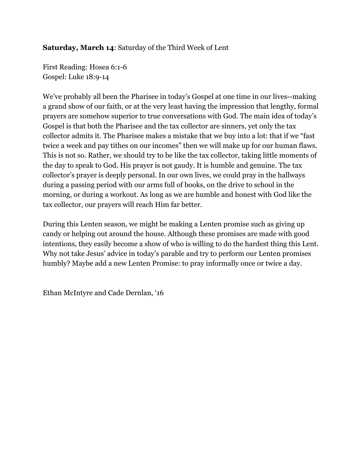## **Saturday, March 14**: Saturday of the Third Week of Lent

First Reading: Hosea 6:1-6 Gospel: Luke 18:9-14

We've probably all been the Pharisee in today's Gospel at one time in our lives--making a grand show of our faith, or at the very least having the impression that lengthy, formal prayers are somehow superior to true conversations with God. The main idea of today's Gospel is that both the Pharisee and the tax collector are sinners, yet only the tax collector admits it. The Pharisee makes a mistake that we buy into a lot: that if we "fast twice a week and pay tithes on our incomes" then we will make up for our human flaws. This is not so. Rather, we should try to be like the tax collector, taking little moments of the day to speak to God. His prayer is not gaudy. It is humble and genuine. The tax collector's prayer is deeply personal. In our own lives, we could pray in the hallways during a passing period with our arms full of books, on the drive to school in the morning, or during a workout. As long as we are humble and honest with God like the tax collector, our prayers will reach Him far better.

During this Lenten season, we might be making a Lenten promise such as giving up candy or helping out around the house. Although these promises are made with good intentions, they easily become a show of who is willing to do the hardest thing this Lent. Why not take Jesus' advice in today's parable and try to perform our Lenten promises humbly? Maybe add a new Lenten Promise: to pray informally once or twice a day.

Ethan McIntyre and Cade Dernlan, '16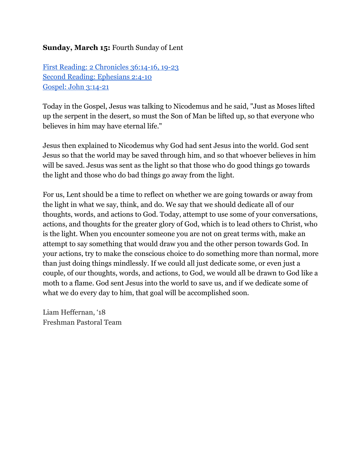## **Sunday, March 15:**Fourth Sunday of Lent

First Reading: 2 [Chronicles](http://www.usccb.org/bible/readings/031515-fourth-sunday-lent.cfm) 36:14-16, 19-23 Second Reading: [Ephesians](http://www.usccb.org/bible/readings/031515-fourth-sunday-lent.cfm) 2:4-10 [Gospel:](http://www.usccb.org/bible/readings/031515-fourth-sunday-lent.cfm) John 3:14-21

Today in the Gospel, Jesus was talking to Nicodemus and he said, "Just as Moses lifted up the serpent in the desert, so must the Son of Man be lifted up, so that everyone who believes in him may have eternal life."

Jesus then explained to Nicodemus why God had sent Jesus into the world. God sent Jesus so that the world may be saved through him, and so that whoever believes in him will be saved. Jesus was sent as the light so that those who do good things go towards the light and those who do bad things go away from the light.

For us, Lent should be a time to reflect on whether we are going towards or away from the light in what we say, think, and do. We say that we should dedicate all of our thoughts, words, and actions to God. Today, attempt to use some of your conversations, actions, and thoughts for the greater glory of God, which is to lead others to Christ, who is the light. When you encounter someone you are not on great terms with, make an attempt to say something that would draw you and the other person towards God. In your actions, try to make the conscious choice to do something more than normal, more than just doing things mindlessly. If we could all just dedicate some, or even just a couple, of our thoughts, words, and actions, to God, we would all be drawn to God like a moth to a flame. God sent Jesus into the world to save us, and if we dedicate some of what we do every day to him, that goal will be accomplished soon.

Liam Heffernan, '18 Freshman Pastoral Team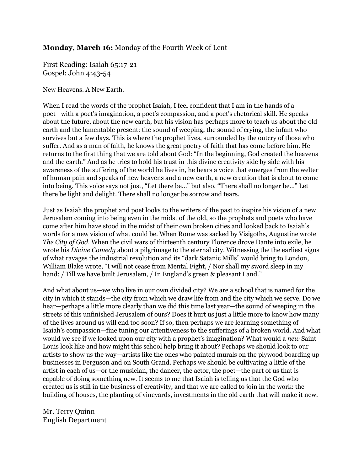#### **Monday, March 16:**Monday of the Fourth Week of Lent

First Reading: Isaiah 65:17-21 Gospel: John 4:43-54

New Heavens. A New Earth.

When I read the words of the prophet Isaiah, I feel confident that I am in the hands of a poet—with a poet's imagination, a poet's compassion, and a poet's rhetorical skill. He speaks about the future, about the new earth, but his vision has perhaps more to teach us about the old earth and the lamentable present: the sound of weeping, the sound of crying, the infant who survives but a few days. This is where the prophet lives, surrounded by the outcry of those who suffer. And as a man of faith, he knows the great poetry of faith that has come before him. He returns to the first thing that we are told about God: "In the beginning, God created the heavens and the earth." And as he tries to hold his trust in this divine creativity side by side with his awareness of the suffering of the world he lives in, he hears a voice that emerges from the welter of human pain and speaks of new heavens and a new earth, a new creation that is about to come into being. This voice says not just, "Let there be…" but also, "There shall no longer be…" Let there be light and delight. There shall no longer be sorrow and tears.

Just as Isaiah the prophet and poet looks to the writers of the past to inspire his vision of a new Jerusalem coming into being even in the midst of the old, so the prophets and poets who have come after him have stood in the midst of their own broken cities and looked back to Isaiah's words for a new vision of what could be. When Rome was sacked by Visigoths, Augustine wrote *The City of God*. When the civil wars of thirteenth century Florence drove Dante into exile, he wrote his *Divine Comedy* about a pilgrimage to the eternal city. Witnessing the the earliest signs of what ravages the industrial revolution and its "dark Satanic Mills" would bring to London, William Blake wrote, "I will not cease from Mental Fight, / Nor shall my sword sleep in my hand: / Till we have built Jerusalem, / In England's green & pleasant Land."

And what about us—we who live in our own divided city? We are a school that is named for the city in which it stands—the city from which we draw life from and the city which we serve. Do we hear—perhaps a little more clearly than we did this time last year—the sound of weeping in the streets of this unfinished Jerusalem of ours? Does it hurt us just a little more to know how many of the lives around us will end too soon? If so, then perhaps we are learning something of Isaiah's compassion—fine tuning our attentiveness to the sufferings of a broken world. And what would we see if we looked upon our city with a prophet's imagination? What would a *new* Saint Louis look like and how might this school help bring it about? Perhaps we should look to our artists to show us the way—artists like the ones who painted murals on the plywood boarding up businesses in Ferguson and on South Grand. Perhaps we should be cultivating a little of the artist in each of us—or the musician, the dancer, the actor, the poet—the part of us that is capable of doing something new. It seems to me that Isaiah is telling us that the God who created us is still in the business of creativity, and that we are called to join in the work: the building of houses, the planting of vineyards, investments in the old earth that will make it new.

Mr. Terry Quinn English Department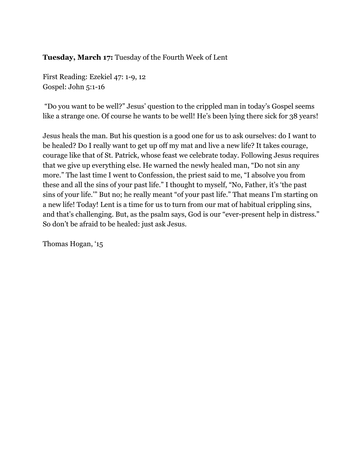**Tuesday, March 17:**Tuesday of the Fourth Week of Lent

First Reading: Ezekiel 47: 1-9, 12 Gospel: John 5:1-16

"Do you want to be well?" Jesus' question to the crippled man in today's Gospel seems like a strange one. Of course he wants to be well! He's been lying there sick for 38 years!

Jesus heals the man. But his question is a good one for us to ask ourselves: do I want to be healed? Do I really want to get up off my mat and live a new life? It takes courage, courage like that of St. Patrick, whose feast we celebrate today. Following Jesus requires that we give up everything else. He warned the newly healed man, "Do not sin any more." The last time I went to Confession, the priest said to me, "I absolve you from these and all the sins of your past life." I thought to myself, "No, Father, it's 'the past sins of your life.'" But no; he really meant "of your past life." That means I'm starting on a new life! Today! Lent is a time for us to turn from our mat of habitual crippling sins, and that's challenging. But, as the psalm says, God is our "ever-present help in distress." So don't be afraid to be healed: just ask Jesus.

Thomas Hogan, '15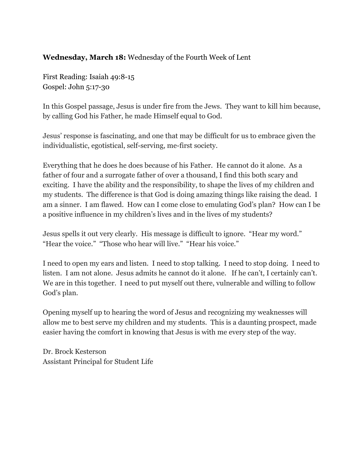#### **Wednesday, March 18:**Wednesday of the Fourth Week of Lent

First Reading: Isaiah 49:8-15 Gospel: John 5:17-30

In this Gospel passage, Jesus is under fire from the Jews. They want to kill him because, by calling God his Father, he made Himself equal to God.

Jesus' response is fascinating, and one that may be difficult for us to embrace given the individualistic, egotistical, self-serving, me-first society.

Everything that he does he does because of his Father. He cannot do it alone. As a father of four and a surrogate father of over a thousand, I find this both scary and exciting. I have the ability and the responsibility, to shape the lives of my children and my students. The difference is that God is doing amazing things like raising the dead. I am a sinner. I am flawed. How can I come close to emulating God's plan? How can I be a positive influence in my children's lives and in the lives of my students?

Jesus spells it out very clearly. His message is difficult to ignore. "Hear my word." "Hear the voice." "Those who hear will live." "Hear his voice."

I need to open my ears and listen. I need to stop talking. I need to stop doing. I need to listen. I am not alone. Jesus admits he cannot do it alone. If he can't, I certainly can't. We are in this together. I need to put myself out there, vulnerable and willing to follow God's plan.

Opening myself up to hearing the word of Jesus and recognizing my weaknesses will allow me to best serve my children and my students. This is a daunting prospect, made easier having the comfort in knowing that Jesus is with me every step of the way.

Dr. Brock Kesterson Assistant Principal for Student Life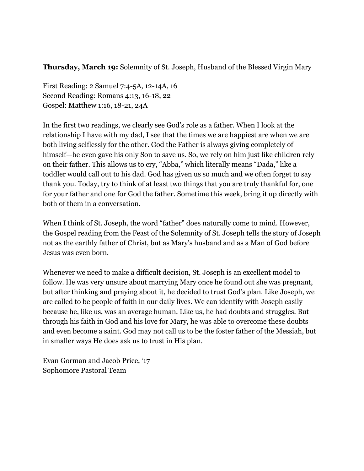**Thursday, March 19:**Solemnity of St. Joseph, Husband of the Blessed Virgin Mary

First Reading: 2 Samuel 7:4-5A, 12-14A, 16 Second Reading: Romans 4:13, 16-18, 22 Gospel: Matthew 1:16, 18-21, 24A

In the first two readings, we clearly see God's role as a father. When I look at the relationship I have with my dad, I see that the times we are happiest are when we are both living selflessly for the other. God the Father is always giving completely of himself—he even gave his only Son to save us. So, we rely on him just like children rely on their father. This allows us to cry, "Abba," which literally means "Dada," like a toddler would call out to his dad. God has given us so much and we often forget to say thank you. Today, try to think of at least two things that you are truly thankful for, one for your father and one for God the father. Sometime this week, bring it up directly with both of them in a conversation.

When I think of St. Joseph, the word "father" does naturally come to mind. However, the Gospel reading from the Feast of the Solemnity of St. Joseph tells the story of Joseph not as the earthly father of Christ, but as Mary's husband and as a Man of God before Jesus was even born.

Whenever we need to make a difficult decision, St. Joseph is an excellent model to follow. He was very unsure about marrying Mary once he found out she was pregnant, but after thinking and praying about it, he decided to trust God's plan. Like Joseph, we are called to be people of faith in our daily lives. We can identify with Joseph easily because he, like us, was an average human. Like us, he had doubts and struggles. But through his faith in God and his love for Mary, he was able to overcome these doubts and even become a saint. God may not call us to be the foster father of the Messiah, but in smaller ways He does ask us to trust in His plan.

Evan Gorman and Jacob Price, '17 Sophomore Pastoral Team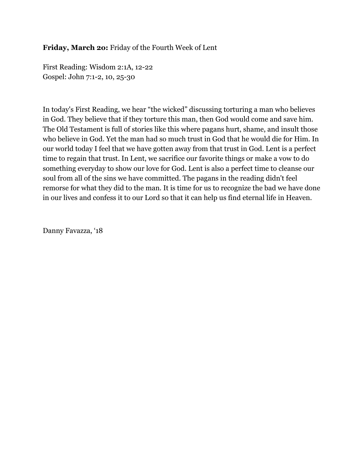**Friday, March 2o:**Friday of the Fourth Week of Lent

First Reading: Wisdom 2:1A, 12-22 Gospel: John 7:1-2, 10, 25-30

In today's First Reading, we hear "the wicked" discussing torturing a man who believes in God. They believe that if they torture this man, then God would come and save him. The Old Testament is full of stories like this where pagans hurt, shame, and insult those who believe in God. Yet the man had so much trust in God that he would die for Him. In our world today I feel that we have gotten away from that trust in God. Lent is a perfect time to regain that trust. In Lent, we sacrifice our favorite things or make a vow to do something everyday to show our love for God. Lent is also a perfect time to cleanse our soul from all of the sins we have committed. The pagans in the reading didn't feel remorse for what they did to the man. It is time for us to recognize the bad we have done in our lives and confess it to our Lord so that it can help us find eternal life in Heaven.

Danny Favazza, '18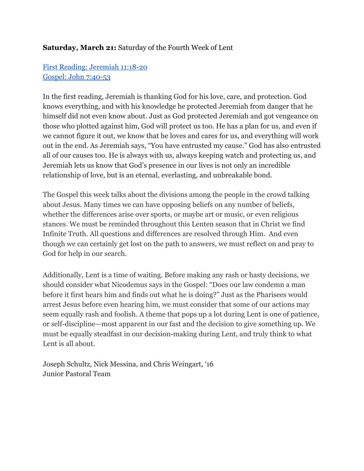## **Saturday, March 21:**Saturday of the Fourth Week of Lent

# First Reading: [Jeremiah](http://www.usccb.org/bible/readings/032115.cfm) 11:18-20 Gospel: John 7:40-53

In the first reading, Jeremiah is thanking God for his love, care, and protection. God knows everything, and with his knowledge he protected Jeremiah from danger that he himself did not even know about. Just as God protected Jeremiah and got vengeance on those who plotted against him, God will protect us too. He has a plan for us, and even if we cannot figure it out, we know that he loves and cares for us, and everything will work out in the end. As Jeremiah says, "You have entrusted my cause." God has also entrusted all of our causes too. He is always with us, always keeping watch and protecting us, and Jeremiah lets us know that God's presence in our lives is not only an incredible relationship of love, but is an eternal, everlasting, and unbreakable bond.

The Gospel this week talks about the divisions among the people in the crowd talking about Jesus. Many times we can have opposing beliefs on any number of beliefs, whether the differences arise over sports, or maybe art or music, or even religious stances. We must be reminded throughout this Lenten season that in Christ we find Infinite Truth. All questions and differences are resolved through Him. And even though we can certainly get lost on the path to answers, we must reflect on and pray to God for help in our search.

Additionally, Lent is a time of waiting. Before making any rash or hasty decisions, we should consider what Nicodemus says in the Gospel: "Does our law condemn a man before it first hears him and finds out what he is doing?" Just as the Pharisees would arrest Jesus before even hearing him, we must consider that some of our actions may seem equally rash and foolish. A theme that pops up a lot during Lent is one of patience, or self-discipline—most apparent in our fast and the decision to give something up. We must be equally steadfast in our decision-making during Lent, and truly think to what Lent is all about.

Joseph Schultz, Nick Messina, and Chris Weingart, '16 Junior Pastoral Team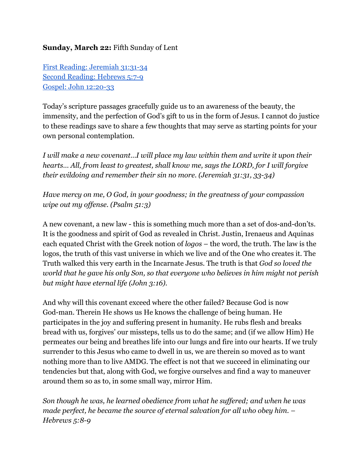## **Sunday, March 22:**Fifth Sunday of Lent

First Reading: [Jeremiah](http://www.usccb.org/bible/readings/032215-fifth-sunday-lent.cfm) 31:31-34 Second [Reading:](http://www.usccb.org/bible/readings/032215-fifth-sunday-lent.cfm) Hebrews 5:7-9 Gospel: John 12:20-33

Today's scripture passages gracefully guide us to an awareness of the beauty, the immensity, and the perfection of God's gift to us in the form of Jesus. I cannot do justice to these readings save to share a few thoughts that may serve as starting points for your own personal contemplation.

*I will make a new covenant…I will place my law within them and write it upon their hearts… All, from least to greatest, shall know me, says the LORD, for I will forgive their evildoing and remember their sin no more. (Jeremiah 31:31, 3334)*

*Have mercy on me, O God, in your goodness; in the greatness of your compassion wipe out my of ense. (Psalm 51:3)*

A new covenant, a new law - this is something much more than a set of dos-and-don'ts. It is the goodness and spirit of God as revealed in Christ. Justin, Irenaeus and Aquinas each equated Christ with the Greek notion of *logos* – the word, the truth. The law is the logos, the truth of this vast universe in which we live and of the One who creates it. The Truth walked this very earth in the Incarnate Jesus. The truth is that *God so loved the world that he gave his only Son, so that everyone who believes in him might not perish but might have eternal life (John 3:16).*

And why will this covenant exceed where the other failed? Because God is now God-man. Therein He shows us He knows the challenge of being human. He participates in the joy and suffering present in humanity. He rubs flesh and breaks bread with us, forgives' our missteps, tells us to do the same; and (if we allow Him) He permeates our being and breathes life into our lungs and fire into our hearts. If we truly surrender to this Jesus who came to dwell in us, we are therein so moved as to want nothing more than to live AMDG. The effect is not that we succeed in eliminating our tendencies but that, along with God, we forgive ourselves and find a way to maneuver around them so as to, in some small way, mirror Him.

*Son though he was, he learned obedience from what he suf ered; and when he was made perfect, he became the source of eternal salvation for all who obey him. – Hebrews* 5:8-9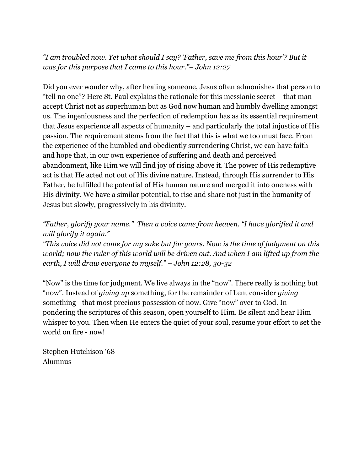*"I am troubled now. Yet what should I say? 'Father, save me from this hour'? But it was for this purpose that I came to this hour."– John 12:27*

Did you ever wonder why, after healing someone, Jesus often admonishes that person to "tell no one"? Here St. Paul explains the rationale for this messianic secret – that man accept Christ not as superhuman but as God now human and humbly dwelling amongst us. The ingeniousness and the perfection of redemption has as its essential requirement that Jesus experience all aspects of humanity – and particularly the total injustice of His passion. The requirement stems from the fact that this is what we too must face. From the experience of the humbled and obediently surrendering Christ, we can have faith and hope that, in our own experience of suffering and death and perceived abandonment, like Him we will find joy of rising above it. The power of His redemptive act is that He acted not out of His divine nature. Instead, through His surrender to His Father, he fulfilled the potential of His human nature and merged it into oneness with His divinity. We have a similar potential, to rise and share not just in the humanity of Jesus but slowly, progressively in his divinity.

# *"Father, glorify your name." Then a voice came from heaven, "I have glorified it and will glorify it again."*

*"This voice did not come for my sake but for yours. Now is the time of judgment on this world; now the ruler of this world will be driven out. And when I am lifted up from the earth, I* will draw everyone to myself." – John 12:28, 30-32

"Now" is the time for judgment. We live always in the "now". There really is nothing but "now". Instead of *giving up* something, for the remainder of Lent consider *giving* something - that most precious possession of now. Give "now" over to God. In pondering the scriptures of this season, open yourself to Him. Be silent and hear Him whisper to you. Then when He enters the quiet of your soul, resume your effort to set the world on fire - now!

Stephen Hutchison '68 Alumnus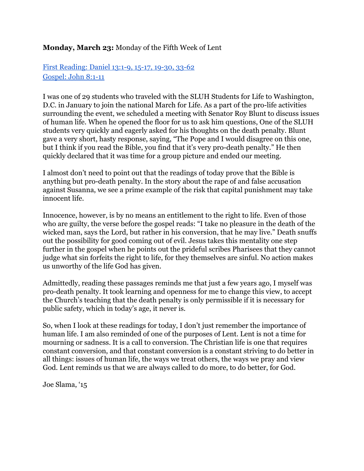#### **Monday, March 23:** Monday of the Fifth Week of Lent

First [Reading:](http://www.usccb.org/bible/readings/032315.cfm) Daniel 13:1-9, 15-17, 19-30, 33-62 [Gospel:](http://www.usccb.org/bible/readings/032315.cfm) John 8:1-11

I was one of 29 students who traveled with the SLUH Students for Life to Washington, D.C. in January to join the national March for Life. As a part of the pro-life activities surrounding the event, we scheduled a meeting with Senator Roy Blunt to discuss issues of human life. When he opened the floor for us to ask him questions, One of the SLUH students very quickly and eagerly asked for his thoughts on the death penalty. Blunt gave a very short, hasty response, saying, "The Pope and I would disagree on this one, but I think if you read the Bible, you find that it's very pro-death penalty." He then quickly declared that it was time for a group picture and ended our meeting.

I almost don't need to point out that the readings of today prove that the Bible is anything but pro-death penalty. In the story about the rape of and false accusation against Susanna, we see a prime example of the risk that capital punishment may take innocent life.

Innocence, however, is by no means an entitlement to the right to life. Even of those who are guilty, the verse before the gospel reads: "I take no pleasure in the death of the wicked man, says the Lord, but rather in his conversion, that he may live." Death snuffs out the possibility for good coming out of evil. Jesus takes this mentality one step further in the gospel when he points out the prideful scribes Pharisees that they cannot judge what sin forfeits the right to life, for they themselves are sinful. No action makes us unworthy of the life God has given.

Admittedly, reading these passages reminds me that just a few years ago, I myself was prodeath penalty. It took learning and openness for me to change this view, to accept the Church's teaching that the death penalty is only permissible if it is necessary for public safety, which in today's age, it never is.

So, when I look at these readings for today, I don't just remember the importance of human life. I am also reminded of one of the purposes of Lent. Lent is not a time for mourning or sadness. It is a call to conversion. The Christian life is one that requires constant conversion, and that constant conversion is a constant striving to do better in all things: issues of human life, the ways we treat others, the ways we pray and view God. Lent reminds us that we are always called to do more, to do better, for God.

Joe Slama, '15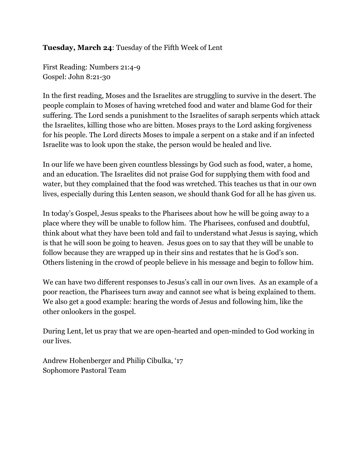## **Tuesday, March 24**: Tuesday of the Fifth Week of Lent

First Reading: Numbers 21:4-9 Gospel: John 8:21-30

In the first reading, Moses and the Israelites are struggling to survive in the desert. The people complain to Moses of having wretched food and water and blame God for their suffering. The Lord sends a punishment to the Israelites of saraph serpents which attack the Israelites, killing those who are bitten. Moses prays to the Lord asking forgiveness for his people. The Lord directs Moses to impale a serpent on a stake and if an infected Israelite was to look upon the stake, the person would be healed and live.

In our life we have been given countless blessings by God such as food, water, a home, and an education. The Israelites did not praise God for supplying them with food and water, but they complained that the food was wretched. This teaches us that in our own lives, especially during this Lenten season, we should thank God for all he has given us.

In today's Gospel, Jesus speaks to the Pharisees about how he will be going away to a place where they will be unable to follow him. The Pharisees, confused and doubtful, think about what they have been told and fail to understand what Jesus is saying, which is that he will soon be going to heaven. Jesus goes on to say that they will be unable to follow because they are wrapped up in their sins and restates that he is God's son. Others listening in the crowd of people believe in his message and begin to follow him.

We can have two different responses to Jesus's call in our own lives. As an example of a poor reaction, the Pharisees turn away and cannot see what is being explained to them. We also get a good example: hearing the words of Jesus and following him, like the other onlookers in the gospel.

During Lent, let us pray that we are open-hearted and open-minded to God working in our lives.

Andrew Hohenberger and Philip Cibulka, '17 Sophomore Pastoral Team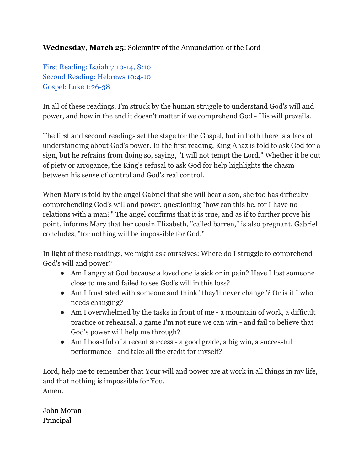# **Wednesday, March 25**: Solemnity of the Annunciation of the Lord

First [Reading:](http://www.usccb.org/bible/readings/032515.cfm) Isaiah  $7:10-14$ ,  $8:10$ Second [Reading:](http://www.usccb.org/bible/readings/032515.cfm) Hebrews 10:4-10 Gospel: Luke 1:26-38

In all of these readings, I'm struck by the human struggle to understand God's will and power, and how in the end it doesn't matter if we comprehend God - His will prevails.

The first and second readings set the stage for the Gospel, but in both there is a lack of understanding about God's power. In the first reading, King Ahaz is told to ask God for a sign, but he refrains from doing so, saying, "I will not tempt the Lord." Whether it be out of piety or arrogance, the King's refusal to ask God for help highlights the chasm between his sense of control and God's real control.

When Mary is told by the angel Gabriel that she will bear a son, she too has difficulty comprehending God's will and power, questioning "how can this be, for I have no relations with a man?" The angel confirms that it is true, and as if to further prove his point, informs Mary that her cousin Elizabeth, "called barren," is also pregnant. Gabriel concludes, "for nothing will be impossible for God."

In light of these readings, we might ask ourselves: Where do I struggle to comprehend God's will and power?

- Am I angry at God because a loved one is sick or in pain? Have I lost someone close to me and failed to see God's will in this loss?
- Am I frustrated with someone and think "they'll never change"? Or is it I who needs changing?
- Am I overwhelmed by the tasks in front of me a mountain of work, a difficult practice or rehearsal, a game I'm not sure we can win - and fail to believe that God's power will help me through?
- Am I boastful of a recent success a good grade, a big win, a successful performance - and take all the credit for myself?

Lord, help me to remember that Your will and power are at work in all things in my life, and that nothing is impossible for You. Amen.

John Moran Principal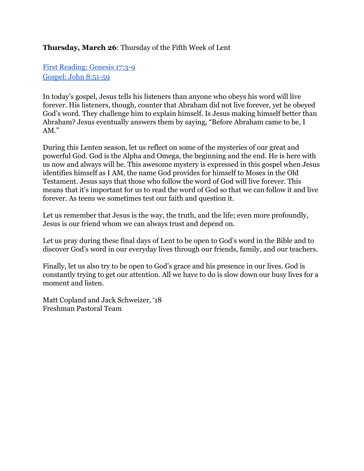#### **Thursday, March 26**: Thursday of the Fifth Week of Lent

First [Reading:](http://www.usccb.org/bible/readings/032615.cfm) Genesis 17:3-9 [Gospel:](http://www.usccb.org/bible/readings/032615.cfm) John 8:51-59

In today's gospel, Jesus tells his listeners than anyone who obeys his word will live forever. His listeners, though, counter that Abraham did not live forever, yet he obeyed God's word. They challenge him to explain himself. Is Jesus making himself better than Abraham? Jesus eventually answers them by saying, "Before Abraham came to be, I AM."

During this Lenten season, let us reflect on some of the mysteries of our great and powerful God. God is the Alpha and Omega, the beginning and the end. He is here with us now and always will be. This awesome mystery is expressed in this gospel when Jesus identifies himself as I AM, the name God provides for himself to Moses in the Old Testament. Jesus says that those who follow the word of God will live forever. This means that it's important for us to read the word of God so that we can follow it and live forever. As teens we sometimes test our faith and question it.

Let us remember that Jesus is the way, the truth, and the life; even more profoundly, Jesus is our friend whom we can always trust and depend on.

Let us pray during these final days of Lent to be open to God's word in the Bible and to discover God's word in our everyday lives through our friends, family, and our teachers.

Finally, let us also try to be open to God's grace and his presence in our lives. God is constantly trying to get our attention. All we have to do is slow down our busy lives for a moment and listen.

Matt Copland and Jack Schweizer, '18 Freshman Pastoral Team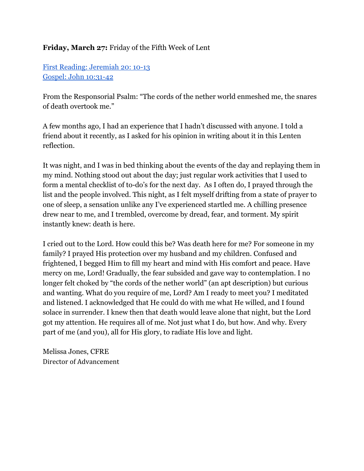# **Friday, March 27:** Friday of the Fifth Week of Lent

First Reading: [Jeremiah](http://www.usccb.org/bible/readings/032715.cfm) 20: 10-13 Gospel: John 10:31-42

From the Responsorial Psalm: "The cords of the nether world enmeshed me, the snares of death overtook me."

A few months ago, I had an experience that I hadn't discussed with anyone. I told a friend about it recently, as I asked for his opinion in writing about it in this Lenten reflection.

It was night, and I was in bed thinking about the events of the day and replaying them in my mind. Nothing stood out about the day; just regular work activities that I used to form a mental checklist of to-do's for the next day. As I often do, I prayed through the list and the people involved. This night, as I felt myself drifting from a state of prayer to one of sleep, a sensation unlike any I've experienced startled me. A chilling presence drew near to me, and I trembled, overcome by dread, fear, and torment. My spirit instantly knew: death is here.

I cried out to the Lord. How could this be? Was death here for me? For someone in my family? I prayed His protection over my husband and my children. Confused and frightened, I begged Him to fill my heart and mind with His comfort and peace. Have mercy on me, Lord! Gradually, the fear subsided and gave way to contemplation. I no longer felt choked by "the cords of the nether world" (an apt description) but curious and wanting. What do you require of me, Lord? Am I ready to meet you? I meditated and listened. I acknowledged that He could do with me what He willed, and I found solace in surrender. I knew then that death would leave alone that night, but the Lord got my attention. He requires all of me. Not just what I do, but how. And why. Every part of me (and you), all for His glory, to radiate His love and light.

Melissa Jones, CFRE Director of Advancement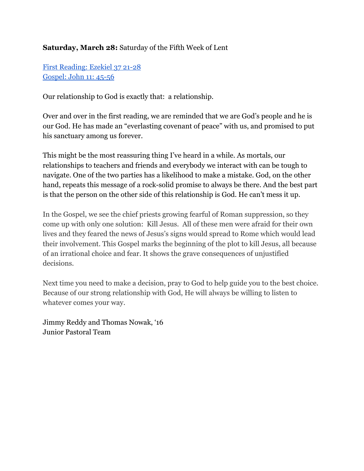# **Saturday, March 28:** Saturday of the Fifth Week of Lent

First [Reading:](http://www.usccb.org/bible/readings/032815.cfm) Ezekiel 37 21-28 [Gospel:](http://www.usccb.org/bible/readings/032815.cfm) John 11: 45-56

Our relationship to God is exactly that: a relationship.

Over and over in the first reading, we are reminded that we are God's people and he is our God. He has made an "everlasting covenant of peace" with us, and promised to put his sanctuary among us forever.

This might be the most reassuring thing I've heard in a while. As mortals, our relationships to teachers and friends and everybody we interact with can be tough to navigate. One of the two parties has a likelihood to make a mistake. God, on the other hand, repeats this message of a rock-solid promise to always be there. And the best part is that the person on the other side of this relationship is God. He can't mess it up.

In the Gospel, we see the chief priests growing fearful of Roman suppression, so they come up with only one solution: Kill Jesus. All of these men were afraid for their own lives and they feared the news of Jesus's signs would spread to Rome which would lead their involvement. This Gospel marks the beginning of the plot to kill Jesus, all because of an irrational choice and fear. It shows the grave consequences of unjustified decisions.

Next time you need to make a decision, pray to God to help guide you to the best choice. Because of our strong relationship with God, He will always be willing to listen to whatever comes your way.

Jimmy Reddy and Thomas Nowak, '16 Junior Pastoral Team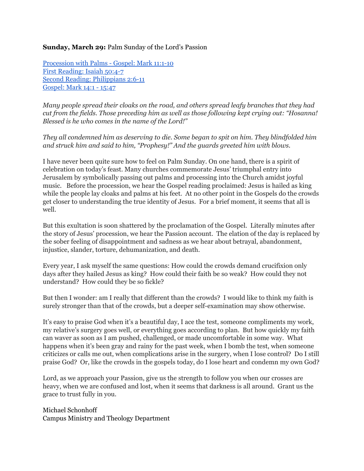#### **Sunday, March 29:** Palm Sunday of the Lord's Passion

[Procession](http://www.usccb.org/bible/readings/032915.cfm) with Palms - Gospel: Mark 11:1-10 First [Reading:](http://www.usccb.org/bible/readings/032915.cfm) Isaiah 50:47 Second Reading: [Philippians](http://www.usccb.org/bible/readings/032915.cfm) 2:6-11 [Gospel:](http://www.usccb.org/bible/readings/032915.cfm) Mark 14:1 - 15:47

*Many people spread their cloaks on the road, and others spread leafy branches that they had cut from the fields. Those preceding him as well as those following kept crying out: "Hosanna! Blessed is he who comes in the name of the Lord!"*

*They all condemned him as deserving to die. Some began to spit on him. They blindfolded him and struck him and said to him, "Prophesy!" And the guards greeted him with blows.*

I have never been quite sure how to feel on Palm Sunday. On one hand, there is a spirit of celebration on today's feast. Many churches commemorate Jesus' triumphal entry into Jerusalem by symbolically passing out palms and processing into the Church amidst joyful music. Before the procession, we hear the Gospel reading proclaimed: Jesus is hailed as king while the people lay cloaks and palms at his feet. At no other point in the Gospels do the crowds get closer to understanding the true identity of Jesus. For a brief moment, it seems that all is well.

But this exultation is soon shattered by the proclamation of the Gospel. Literally minutes after the story of Jesus' procession, we hear the Passion account. The elation of the day is replaced by the sober feeling of disappointment and sadness as we hear about betrayal, abandonment, injustice, slander, torture, dehumanization, and death.

Every year, I ask myself the same questions: How could the crowds demand crucifixion only days after they hailed Jesus as king? How could their faith be so weak? How could they not understand? How could they be so fickle?

But then I wonder: am I really that different than the crowds? I would like to think my faith is surely stronger than that of the crowds, but a deeper self-examination may show otherwise.

It's easy to praise God when it's a beautiful day, I ace the test, someone compliments my work, my relative's surgery goes well, or everything goes according to plan. But how quickly my faith can waver as soon as I am pushed, challenged, or made uncomfortable in some way. What happens when it's been gray and rainy for the past week, when I bomb the test, when someone criticizes or calls me out, when complications arise in the surgery, when I lose control? Do I still praise God? Or, like the crowds in the gospels today, do I lose heart and condemn my own God?

Lord, as we approach your Passion, give us the strength to follow you when our crosses are heavy, when we are confused and lost, when it seems that darkness is all around. Grant us the grace to trust fully in you.

Michael Schonhoff Campus Ministry and Theology Department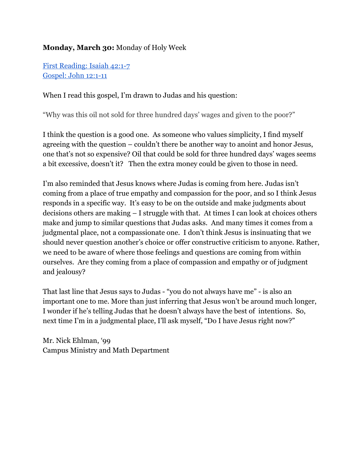# **Monday, March 30:**Monday of Holy Week

First [Reading:](http://www.usccb.org/bible/readings/033015.cfm) Isaiah 42:1-7 [Gospel:](http://www.usccb.org/bible/readings/033015.cfm) John 12:1-11

When I read this gospel, I'm drawn to Judas and his question:

"Why was this oil not sold for three hundred days' wages and given to the poor?"

I think the question is a good one. As someone who values simplicity, I find myself agreeing with the question – couldn't there be another way to anoint and honor Jesus, one that's not so expensive? Oil that could be sold for three hundred days' wages seems a bit excessive, doesn't it? Then the extra money could be given to those in need.

I'm also reminded that Jesus knows where Judas is coming from here. Judas isn't coming from a place of true empathy and compassion for the poor, and so I think Jesus responds in a specific way. It's easy to be on the outside and make judgments about decisions others are making – I struggle with that. At times I can look at choices others make and jump to similar questions that Judas asks. And many times it comes from a judgmental place, not a compassionate one. I don't think Jesus is insinuating that we should never question another's choice or offer constructive criticism to anyone. Rather, we need to be aware of where those feelings and questions are coming from within ourselves. Are they coming from a place of compassion and empathy or of judgment and jealousy?

That last line that Jesus says to Judas - "you do not always have me" - is also an important one to me. More than just inferring that Jesus won't be around much longer, I wonder if he's telling Judas that he doesn't always have the best of intentions. So, next time I'm in a judgmental place, I'll ask myself, "Do I have Jesus right now?"

Mr. Nick Ehlman, '99 Campus Ministry and Math Department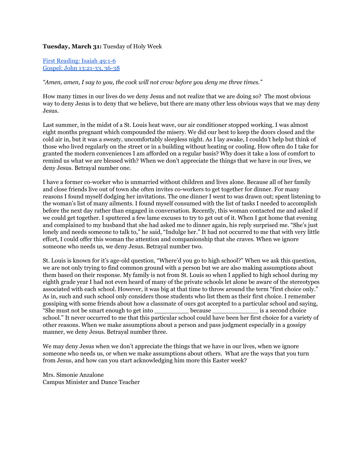#### **Tuesday, March 31:** Tuesday of Holy Week

First [Reading:](http://www.usccb.org/bible/readings/033115.cfm) Isaiah 49:1-6 Gospel: John 13:21-33, 36-38

*"Amen, amen, I say to you, the cock will not crow before you deny me three times."*

How many times in our lives do we deny Jesus and not realize that we are doing so? The most obvious way to deny Jesus is to deny that we believe, but there are many other less obvious ways that we may deny Jesus.

Last summer, in the midst of a St. Louis heat wave, our air conditioner stopped working. I was almost eight months pregnant which compounded the misery. We did our best to keep the doors closed and the cold air in, but it was a sweaty, uncomfortably sleepless night. As I lay awake, I couldn't help but think of those who lived regularly on the street or in a building without heating or cooling. How often do I take for granted the modern conveniences I am afforded on a regular basis? Why does it take a loss of comfort to remind us what we are blessed with? When we don't appreciate the things that we have in our lives, we deny Jesus. Betrayal number one.

I have a former co-worker who is unmarried without children and lives alone. Because all of her family and close friends live out of town she often invites co-workers to get together for dinner. For many reasons I found myself dodging her invitations. The one dinner I went to was drawn out; spent listening to the woman's list of many ailments. I found myself consumed with the list of tasks I needed to accomplish before the next day rather than engaged in conversation. Recently, this woman contacted me and asked if we could get together. I sputtered a few lame excuses to try to get out of it. When I got home that evening and complained to my husband that she had asked me to dinner again, his reply surprised me. "She's just lonely and needs someone to talk to," he said, "Indulge her." It had not occurred to me that with very little effort, I could offer this woman the attention and companionship that she craves. When we ignore someone who needs us, we deny Jesus. Betrayal number two.

St. Louis is known for it's age-old question, "Where'd you go to high school?" When we ask this question, we are not only trying to find common ground with a person but we are also making assumptions about them based on their response. My family is not from St. Louis so when I applied to high school during my eighth grade year I had not even heard of many of the private schools let alone be aware of the stereotypes associated with each school. However, it was big at that time to throw around the term "first choice only." As in, such and such school only considers those students who list them as their first choice. I remember gossiping with some friends about how a classmate of ours got accepted to a particular school and saying, "She must not be smart enough to get into \_\_\_\_\_\_\_\_\_ because \_\_\_\_\_\_\_\_\_\_\_\_ is a second choice school." It never occurred to me that this particular school could have been her first choice for a variety of other reasons. When we make assumptions about a person and pass judgment especially in a gossipy manner, we deny Jesus. Betrayal number three.

We may deny Jesus when we don't appreciate the things that we have in our lives, when we ignore someone who needs us, or when we make assumptions about others. What are the ways that you turn from Jesus, and how can you start acknowledging him more this Easter week?

Mrs. Simonie Anzalone Campus Minister and Dance Teacher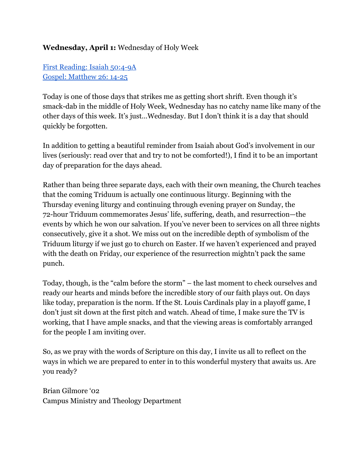# **Wednesday, April 1:**Wednesday of Holy Week

First [Reading:](http://www.usccb.org/bible/readings/040115.cfm) Isaiah 50:49A Gospel: [Matthew](http://www.usccb.org/bible/readings/040115.cfm) 26: 14-25

Today is one of those days that strikes me as getting short shrift. Even though it's smack-dab in the middle of Holy Week, Wednesday has no catchy name like many of the other days of this week. It's just…Wednesday. But I don't think it is a day that should quickly be forgotten.

In addition to getting a beautiful reminder from Isaiah about God's involvement in our lives (seriously: read over that and try to not be comforted!), I find it to be an important day of preparation for the days ahead.

Rather than being three separate days, each with their own meaning, the Church teaches that the coming Triduum is actually one continuous liturgy. Beginning with the Thursday evening liturgy and continuing through evening prayer on Sunday, the 72hour Triduum commemorates Jesus' life, suffering, death, and resurrection—the events by which he won our salvation. If you've never been to services on all three nights consecutively, give it a shot. We miss out on the incredible depth of symbolism of the Triduum liturgy if we just go to church on Easter. If we haven't experienced and prayed with the death on Friday, our experience of the resurrection mightn't pack the same punch.

Today, though, is the "calm before the storm" – the last moment to check ourselves and ready our hearts and minds before the incredible story of our faith plays out. On days like today, preparation is the norm. If the St. Louis Cardinals play in a playoff game, I don't just sit down at the first pitch and watch. Ahead of time, I make sure the TV is working, that I have ample snacks, and that the viewing areas is comfortably arranged for the people I am inviting over.

So, as we pray with the words of Scripture on this day, I invite us all to reflect on the ways in which we are prepared to enter in to this wonderful mystery that awaits us. Are you ready?

Brian Gilmore '02 Campus Ministry and Theology Department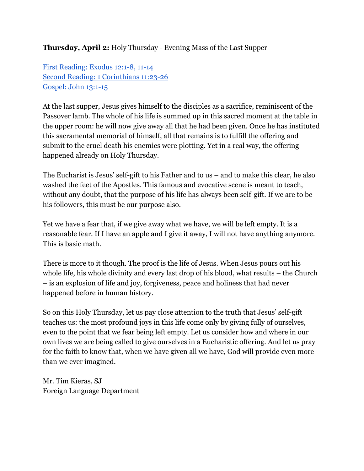## **Thursday, April 2:**Holy Thursday Evening Mass of the Last Supper

First [Reading:](http://www.usccb.org/bible/readings/040215.cfm) Exodus 12:1-8, 11-14 Second Reading: 1 [Corinthians](http://www.usccb.org/bible/readings/040215.cfm) 11:23-26 [Gospel:](http://www.usccb.org/bible/readings/040215.cfm) John 13:1-15

At the last supper, Jesus gives himself to the disciples as a sacrifice, reminiscent of the Passover lamb. The whole of his life is summed up in this sacred moment at the table in the upper room: he will now give away all that he had been given. Once he has instituted this sacramental memorial of himself, all that remains is to fulfill the offering and submit to the cruel death his enemies were plotting. Yet in a real way, the offering happened already on Holy Thursday.

The Eucharist is Jesus' self-gift to his Father and to us  $-$  and to make this clear, he also washed the feet of the Apostles. This famous and evocative scene is meant to teach, without any doubt, that the purpose of his life has always been self-gift. If we are to be his followers, this must be our purpose also.

Yet we have a fear that, if we give away what we have, we will be left empty. It is a reasonable fear. If I have an apple and I give it away, I will not have anything anymore. This is basic math.

There is more to it though. The proof is the life of Jesus. When Jesus pours out his whole life, his whole divinity and every last drop of his blood, what results – the Church – is an explosion of life and joy, forgiveness, peace and holiness that had never happened before in human history.

So on this Holy Thursday, let us pay close attention to the truth that Jesus' self-gift teaches us: the most profound joys in this life come only by giving fully of ourselves, even to the point that we fear being left empty. Let us consider how and where in our own lives we are being called to give ourselves in a Eucharistic offering. And let us pray for the faith to know that, when we have given all we have, God will provide even more than we ever imagined.

Mr. Tim Kieras, SJ Foreign Language Department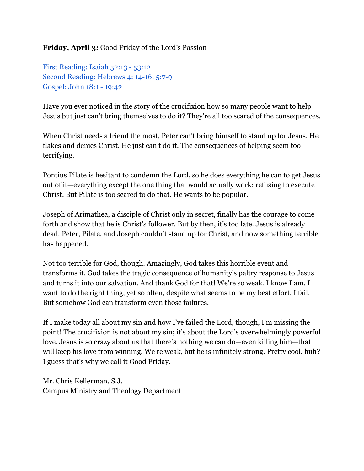# **Friday, April 3:**Good Friday of the Lord's Passion

First [Reading:](http://www.usccb.org/bible/readings/040315.cfm) Isaiah 52:13 53:12 Second [Reading:](http://www.usccb.org/bible/readings/040315.cfm) Hebrews 4: 14-16; 5:7-9 [Gospel:](http://www.usccb.org/bible/readings/040315.cfm) John 18:1 - 19:42

Have you ever noticed in the story of the crucifixion how so many people want to help Jesus but just can't bring themselves to do it? They're all too scared of the consequences.

When Christ needs a friend the most, Peter can't bring himself to stand up for Jesus. He flakes and denies Christ. He just can't do it. The consequences of helping seem too terrifying.

Pontius Pilate is hesitant to condemn the Lord, so he does everything he can to get Jesus out of it—everything except the one thing that would actually work: refusing to execute Christ. But Pilate is too scared to do that. He wants to be popular.

Joseph of Arimathea, a disciple of Christ only in secret, finally has the courage to come forth and show that he is Christ's follower. But by then, it's too late. Jesus is already dead. Peter, Pilate, and Joseph couldn't stand up for Christ, and now something terrible has happened.

Not too terrible for God, though. Amazingly, God takes this horrible event and transforms it. God takes the tragic consequence of humanity's paltry response to Jesus and turns it into our salvation. And thank God for that! We're so weak. I know I am. I want to do the right thing, yet so often, despite what seems to be my best effort, I fail. But somehow God can transform even those failures.

If I make today all about my sin and how I've failed the Lord, though, I'm missing the point! The crucifixion is not about my sin; it's about the Lord's overwhelmingly powerful love. Jesus is so crazy about us that there's nothing we can do—even killing him—that will keep his love from winning. We're weak, but he is infinitely strong. Pretty cool, huh? I guess that's why we call it Good Friday.

Mr. Chris Kellerman, S.J. Campus Ministry and Theology Department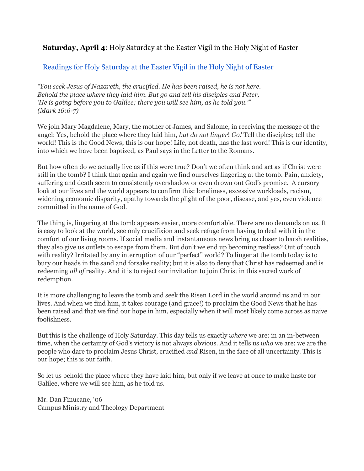#### **Saturday, April 4**: Holy Saturday at the Easter Vigil in the Holy Night of Easter

#### [Readings](http://www.usccb.org/bible/readings/040415.cfm) for Holy Saturday at the Easter Vigil in the Holy Night of Easter

*"You seek Jesus of Nazareth, the crucified. He has been raised, he is not here. Behold the place where they laid him. But go and tell his disciples and Peter, 'He is going before you to Galilee; there you will see him, as he told you.'" (Mark 16:6-7)* 

We join Mary Magdalene, Mary, the mother of James, and Salome, in receiving the message of the angel: Yes, behold the place where they laid him, *but do not linger*! *Go!* Tell the disciples; tell the world! This is the Good News; this is our hope! Life, not death, has the last word! This is our identity, into which we have been baptized, as Paul says in the Letter to the Romans.

But how often do we actually live as if this were true? Don't we often think and act as if Christ were still in the tomb? I think that again and again we find ourselves lingering at the tomb. Pain, anxiety, suffering and death seem to consistently overshadow or even drown out God's promise. A cursory look at our lives and the world appears to confirm this: loneliness, excessive workloads, racism, widening economic disparity, apathy towards the plight of the poor, disease, and yes, even violence committed in the name of God.

The thing is, lingering at the tomb appears easier, more comfortable. There are no demands on us. It is easy to look at the world, see only crucifixion and seek refuge from having to deal with it in the comfort of our living rooms. If social media and instantaneous news bring us closer to harsh realities, they also give us outlets to escape from them. But don't we end up becoming restless? Out of touch with reality? Irritated by any interruption of our "perfect" world? To linger at the tomb today is to bury our heads in the sand and forsake reality; but it is also to deny that Christ has redeemed and is redeeming *all of* reality. And it is to reject our invitation to join Christ in this sacred work of redemption.

It is more challenging to leave the tomb and seek the Risen Lord in the world around us and in our lives. And when we find him, it takes courage (and grace!) to proclaim the Good News that he has been raised and that we find our hope in him, especially when it will most likely come across as naive foolishness.

But this is the challenge of Holy Saturday. This day tells us exactly *where* we are: in an in-between time, when the certainty of God's victory is not always obvious. And it tells us *who* we are: we are the people who dare to proclaim Jesus Christ, crucified *and* Risen, in the face of all uncertainty. This is our hope; this is our faith.

So let us behold the place where they have laid him, but only if we leave at once to make haste for Galilee, where we will see him, as he told us.

Mr. Dan Finucane, '06 Campus Ministry and Theology Department